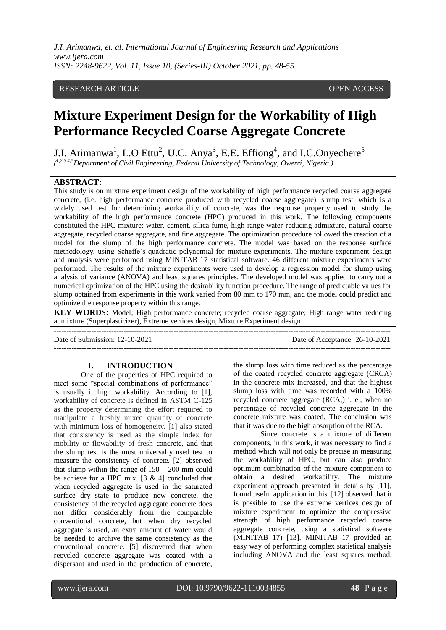*J.I. Arimanwa, et. al. International Journal of Engineering Research and Applications www.ijera.com ISSN: 2248-9622, Vol. 11, Issue 10, (Series-III) October 2021, pp. 48-55*

# RESEARCH ARTICLE **CONSERVERS** OPEN ACCESS

# **Mixture Experiment Design for the Workability of High Performance Recycled Coarse Aggregate Concrete**

J.I. Arimanwa<sup>1</sup>, L.O Ettu<sup>2</sup>, U.C. Anya<sup>3</sup>, E.E. Effiong<sup>4</sup>, and I.C.Onyechere<sup>5</sup> *( 1,2,3,4,5Department of Civil Engineering, Federal University of Technology, Owerri, Nigeria.)*

#### **ABSTRACT:**

This study is on mixture experiment design of the workability of high performance recycled coarse aggregate concrete, (i.e. high performance concrete produced with recycled coarse aggregate). slump test, which is a widely used test for determining workability of concrete, was the response property used to study the workability of the high performance concrete (HPC) produced in this work. The following components constituted the HPC mixture: water, cement, silica fume, high range water reducing admixture, natural coarse aggregate, recycled coarse aggregate, and fine aggregate. The optimization procedure followed the creation of a model for the slump of the high performance concrete. The model was based on the response surface methodology, using Scheffe's quadratic polynomial for mixture experiments. The mixture experiment design and analysis were performed using MINITAB 17 statistical software. 46 different mixture experiments were performed. The results of the mixture experiments were used to develop a regression model for slump using analysis of variance (ANOVA) and least squares principles. The developed model was applied to carry out a numerical optimization of the HPC using the desirability function procedure. The range of predictable values for slump obtained from experiments in this work varied from 80 mm to 170 mm, and the model could predict and optimize the response property within this range.

**KEY WORDS:** Model; High performance concrete; recycled coarse aggregate; High range water reducing admixture (Superplasticizer), Extreme vertices design, Mixture Experiment design.

---------------------------------------------------------------------------------------------------------------------------------------

Date of Submission: 12-10-2021 Date of Acceptance: 26-10-2021

# **I. INTRODUCTION**

 $-+++++++++$ 

One of the properties of HPC required to meet some "special combinations of performance" is usually it high workability. According to [1], workability of concrete is defined in ASTM C-125 as the property determining the effort required to manipulate a freshly mixed quantity of concrete with minimum loss of homogeneity. [1] also stated that consistency is used as the simple index for mobility or flowability of fresh concrete, and that the slump test is the most universally used test to measure the consistency of concrete. [2] observed that slump within the range of  $150 - 200$  mm could be achieve for a HPC mix.  $[3 \& 4]$  concluded that when recycled aggregate is used in the saturated surface dry state to produce new concrete, the consistency of the recycled aggregate concrete does not differ considerably from the comparable conventional concrete, but when dry recycled aggregate is used, an extra amount of water would be needed to archive the same consistency as the conventional concrete. [5] discovered that when recycled concrete aggregate was coated with a dispersant and used in the production of concrete, the slump loss with time reduced as the percentage of the coated recycled concrete aggregate (CRCA) in the concrete mix increased, and that the highest slump loss with time was recorded with a 100% recycled concrete aggregate (RCA,) i. e., when no percentage of recycled concrete aggregate in the concrete mixture was coated. The conclusion was that it was due to the high absorption of the RCA.

Since concrete is a mixture of different components, in this work, it was necessary to find a method which will not only be precise in measuring the workability of HPC, but can also produce optimum combination of the mixture component to obtain a desired workability. The mixture experiment approach presented in details by [11], found useful application in this. [12] observed that it is possible to use the extreme vertices design of mixture experiment to optimize the compressive strength of high performance recycled coarse aggregate concrete, using a statistical software (MINITAB 17) [13]. MINITAB 17 provided an easy way of performing complex statistical analysis including ANOVA and the least squares method,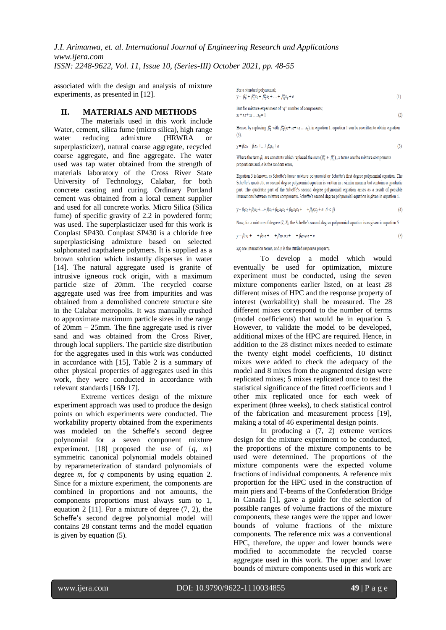*J.I. Arimanwa, et. al. International Journal of Engineering Research and Applications www.ijera.com ISSN: 2248-9622, Vol. 11, Issue 10, (Series-III) October 2021, pp. 48-55*

associated with the design and analysis of mixture experiments, as presented in [12].

#### **II. MATERIALS AND METHODS**

The materials used in this work include Water, cement, silica fume (micro silica), high range water reducing admixture (HRWRA or superplasticizer), natural coarse aggregate, recycled coarse aggregate, and fine aggregate. The water used was tap water obtained from the strength of materials laboratory of the Cross River State University of Technology, Calabar, for both concrete casting and curing. Ordinary Portland cement was obtained from a local cement supplier and used for all concrete works. Micro Silica (Silica fume) of specific gravity of 2.2 in powdered form; was used. The superplasticizer used for this work is Conplast SP430. Conplast SP430 is a chloride free superplasticising admixture based on selected sulphonated napthalene polymers. It is supplied as a brown solution which instantly disperses in water [14]. The natural aggregate used is granite of intrusive igneous rock origin, with a maximum particle size of 20mm. The recycled coarse aggregate used was free from impurities and was obtained from a demolished concrete structure site in the Calabar metropolis. It was manually crushed to approximate maximum particle sizes in the range of 20mm – 25mm. The fine aggregate used is river sand and was obtained from the Cross River, through local suppliers. The particle size distribution for the aggregates used in this work was conducted in accordance with [15], Table 2 is a summary of other physical properties of aggregates used in this work, they were conducted in accordance with relevant standards [16& 17].

Extreme vertices design of the mixture experiment approach was used to produce the design points on which experiments were conducted. The workability property obtained from the experiments was modeled on the Scheffe's second degree polynomial for a seven component mixture experiment. [18] proposed the use of  $\{q, m\}$ symmetric canonical polynomial models obtained by reparameterization of standard polynomials of degree *m,* for *q* components by using equation 2. Since for a mixture experiment, the components are combined in proportions and not amounts, the components proportions must always sum to 1, equation 2 [11]. For a mixture of degree (7, 2), the Scheffe's second degree polynomial model will contains 28 constant terms and the model equation is given by equation (5).

| For a standard polynomial:<br>$y = \beta_0^* + \beta_1^* x_1 + \beta_2^* x_2 + \dots + \beta_\sigma^* x_\sigma + e$ |  |
|---------------------------------------------------------------------------------------------------------------------|--|
| But for mixture experiment of " $q$ " number of components;<br>$x_1 + x_2 + x_3  x_n = 1$                           |  |

Hence, by replacing  $\beta_0^*$  with  $\beta_0^*(x_1+x_2+x_3...x_q)$ , in equation 1, equation 1 can be rewritten to obtain equation  $(3)$ .

$$
y = \beta_1 x_1 + \beta_2 x_2 + \ldots + \beta_q x_q + e \tag{3}
$$

Where the term  $\beta_i$  are constants which replaced the sum  $(\beta_0^* + \beta_i^*)$ , x terms are the mixture components proportions and, e is the random error,

Equation 3 is known as Scheffe's linear mixture polynomial or Scheffe's first degree polynomial equation. The Scheffe's quadratic or second degree polynomial equation is written in a similar manner but contains a quadratic part. The quadratic part of the Scheffe's second degree polynomial equation arises as a result of possible interactions between mixture components. Scheffe's second degree polynomial equation is given in equation 4.

$$
y = \beta_1 x_1 + \beta_2 x_2 + \dots + \beta_k x_i + \beta_{12} x_1 x_2 + \beta_{13} x_1 x_3 + \dots + \beta_{ij} x_i x_j + e \quad (i < j)
$$
\n(4)

Now, for a mixture of degree (7, 2), the Scheffe's second degree polynomial equation is as given in equation 5

$$
y = \beta_1 x_1 + ... + \beta_2 x_7 + ... + \beta_{11} x_1 x_2 + ... + \beta_6 x_6 x_7 + e
$$
\n(5)

 $x_i x_j$  are interaction terms, and  $y$  is the studied response property.

To develop a model which would eventually be used for optimization, mixture experiment must be conducted, using the seven mixture components earlier listed, on at least 28 different mixes of HPC and the response property of interest (workability) shall be measured. The 28 different mixes correspond to the number of terms (model coefficients) that would be in equation 5. However, to validate the model to be developed, additional mixes of the HPC are required. Hence, in addition to the 28 distinct mixes needed to estimate the twenty eight model coefficients, 10 distinct mixes were added to check the adequacy of the model and 8 mixes from the augmented design were replicated mixes; 5 mixes replicated once to test the statistical significance of the fitted coefficients and 1 other mix replicated once for each week of experiment (three weeks), to check statistical control of the fabrication and measurement process [19], making a total of 46 experimental design points.

In producing a (7, 2) extreme vertices design for the mixture experiment to be conducted, the proportions of the mixture components to be used were determined. The proportions of the mixture components were the expected volume fractions of individual components. A reference mix proportion for the HPC used in the construction of main piers and T-beams of the Confederation Bridge in Canada [1], gave a guide for the selection of possible ranges of volume fractions of the mixture components, these ranges were the upper and lower bounds of volume fractions of the mixture components. The reference mix was a conventional HPC, therefore, the upper and lower bounds were modified to accommodate the recycled coarse aggregate used in this work. The upper and lower bounds of mixture components used in this work are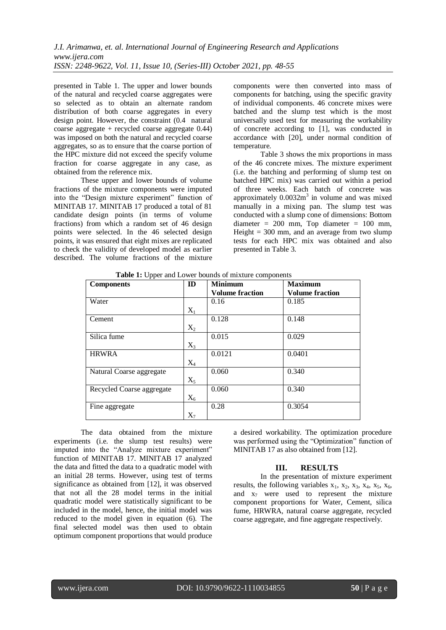presented in Table 1. The upper and lower bounds of the natural and recycled coarse aggregates were so selected as to obtain an alternate random distribution of both coarse aggregates in every design point. However, the constraint (0.4 natural coarse aggregate + recycled coarse aggregate 0.44) was imposed on both the natural and recycled coarse aggregates, so as to ensure that the coarse portion of the HPC mixture did not exceed the specify volume fraction for coarse aggregate in any case, as obtained from the reference mix.

These upper and lower bounds of volume fractions of the mixture components were imputed into the "Design mixture experiment" function of MINITAB 17. MINITAB 17 produced a total of 81 candidate design points (in terms of volume fractions) from which a random set of 46 design points were selected. In the 46 selected design points, it was ensured that eight mixes are replicated to check the validity of developed model as earlier described. The volume fractions of the mixture components were then converted into mass of components for batching, using the specific gravity of individual components. 46 concrete mixes were batched and the slump test which is the most universally used test for measuring the workability of concrete according to [1], was conducted in accordance with [20], under normal condition of temperature.

Table 3 shows the mix proportions in mass of the 46 concrete mixes. The mixture experiment (i.e. the batching and performing of slump test on batched HPC mix) was carried out within a period of three weeks. Each batch of concrete was approximately  $0.0032m<sup>3</sup>$  in volume and was mixed manually in a mixing pan. The slump test was conducted with a slump cone of dimensions: Bottom diameter = 200 mm, Top diameter = 100 mm, Height  $= 300$  mm, and an average from two slump tests for each HPC mix was obtained and also presented in Table 3.

| <b>Components</b>         | ID    | <b>Minimum</b>         | <b>Maximum</b>         |
|---------------------------|-------|------------------------|------------------------|
|                           |       | <b>Volume fraction</b> | <b>Volume fraction</b> |
| Water                     |       | 0.16                   | 0.185                  |
|                           | $X_1$ |                        |                        |
| Cement                    |       | 0.128                  | 0.148                  |
|                           | $X_2$ |                        |                        |
| Silica fume               |       | 0.015                  | 0.029                  |
|                           | $X_3$ |                        |                        |
| <b>HRWRA</b>              |       | 0.0121                 | 0.0401                 |
|                           | $X_4$ |                        |                        |
| Natural Coarse aggregate  |       | 0.060                  | 0.340                  |
|                           | $X_5$ |                        |                        |
| Recycled Coarse aggregate |       | 0.060                  | 0.340                  |
|                           | $X_6$ |                        |                        |
| Fine aggregate            |       | 0.28                   | 0.3054                 |
|                           | $X_7$ |                        |                        |

 **Table 1:** Upper and Lower bounds of mixture components

The data obtained from the mixture experiments (i.e. the slump test results) were imputed into the "Analyze mixture experiment" function of MINITAB 17. MINITAB 17 analyzed the data and fitted the data to a quadratic model with an initial 28 terms. However, using test of terms significance as obtained from [12], it was observed that not all the 28 model terms in the initial quadratic model were statistically significant to be included in the model, hence, the initial model was reduced to the model given in equation (6). The final selected model was then used to obtain optimum component proportions that would produce a desired workability. The optimization procedure was performed using the "Optimization" function of MINITAB 17 as also obtained from [12].

## **III. RESULTS**

In the presentation of mixture experiment results, the following variables  $x_1$ ,  $x_2$ ,  $x_3$ ,  $x_4$ ,  $x_5$ ,  $x_6$ , and  $x_7$  were used to represent the mixture component proportions for Water, Cement, silica fume, HRWRA, natural coarse aggregate, recycled coarse aggregate, and fine aggregate respectively.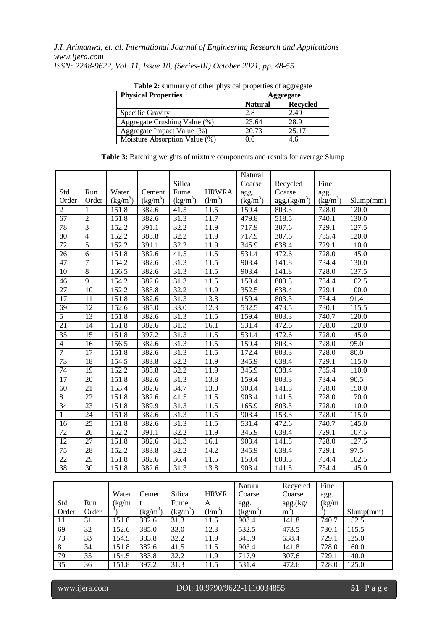| <b>Table 2:</b> summary of other physical properties of aggregate |                |                 |  |  |  |  |  |
|-------------------------------------------------------------------|----------------|-----------------|--|--|--|--|--|
| <b>Physical Properties</b>                                        | Aggregate      |                 |  |  |  |  |  |
|                                                                   | <b>Natural</b> | <b>Recycled</b> |  |  |  |  |  |
| Specific Gravity                                                  | 2.8            | 2.49            |  |  |  |  |  |
| Aggregate Crushing Value (%)                                      | 23.64          | 28.91           |  |  |  |  |  |
| Aggregate Impact Value (%)                                        | 20.73          | 25.17           |  |  |  |  |  |
| Moisture Absorption Value (%)                                     | 0.0            | 4.6             |  |  |  |  |  |

|  |  |  | Table 3: Batching weights of mixture components and results for average Slump |
|--|--|--|-------------------------------------------------------------------------------|
|  |  |  |                                                                               |

|                 |                 |                                |            |            |              | Natural            |                            |                            |           |
|-----------------|-----------------|--------------------------------|------------|------------|--------------|--------------------|----------------------------|----------------------------|-----------|
|                 |                 |                                |            | Silica     |              | Coarse             | Recycled                   | Fine                       |           |
| Std             | Run             | Water                          | Cement     | Fume       | <b>HRWRA</b> | agg.               | Coarse                     | agg.                       |           |
| Order           | Order           | $\frac{\text{kg}}{\text{m}^3}$ | $(kg/m^3)$ | $(kg/m^3)$ | $(l/m^3)$    | $(kg/m^3)$         | $\frac{agg.(kg/m^3)}{mag}$ | $\frac{(\text{kg/m}^3)}{}$ | Slump(mm) |
| $\overline{2}$  | 1               | 151.8                          | 382.6      | 41.5       | 11.5         | 159.4              | 803.3                      | 728.0                      | 120.0     |
| 67              | $\overline{2}$  | 151.8                          | 382.6      | 31.3       | 11.7         | 479.8              | 518.5                      | 740.1                      | 130.0     |
| 78              | 3               | 152.2                          | 391.1      | 32.2       | 11.9         | 717.9              | 307.6                      | 729.1                      | 127.5     |
| 80              | $\overline{4}$  | 152.2                          | 383.8      | 32.2       | 11.9         | 717.9              | 307.6                      | 735.4                      | 120.0     |
| 72              | $\overline{5}$  | 152.2                          | 391.1      | 32.2       | 11.9         | 345.9              | 638.4                      | 729.1                      | 110.0     |
| $\overline{26}$ | 6               | 151.8                          | 382.6      | 41.5       | 11.5         | 531.4              | 472.6                      | 728.0                      | 145.0     |
| 47              | $\overline{7}$  | 154.2                          | 382.6      | 31.3       | 11.5         | 903.4              | 141.8                      | 734.4                      | 130.0     |
| 10              | $\overline{8}$  | 156.5                          | 382.6      | 31.3       | 11.5         | 903.4              | 141.8                      | 728.0                      | 137.5     |
| 46              | 9               | 154.2                          | 382.6      | 31.3       | 11.5         | 159.4              | 803.3                      | 734.4                      | 102.5     |
| $\overline{27}$ | 10              | 152.2                          | 383.8      | 32.2       | 11.9         | 352.5              | 638.4                      | 729.1                      | 100.0     |
| 17              | 11              | 151.8                          | 382.6      | 31.3       | 13.8         | 159.4              | 803.3                      | 734.4                      | 91.4      |
| 69              | 12              | 152.6                          | 385.0      | 33.0       | 12.3         | 532.5              | 473.5                      | 730.1                      | 115.5     |
| 5               | $\overline{13}$ | 151.8                          | 382.6      | 31.3       | 11.5         | 159.4              | 803.3                      | 740.7                      | 120.0     |
| 21              | 14              | 151.8                          | 382.6      | 31.3       | 16.1         | $\overline{531.4}$ | 472.6                      | 728.0                      | 120.0     |
| 35              | 15              | 151.8                          | 397.2      | 31.3       | 11.5         | 531.4              | 472.6                      | 728.0                      | 145.0     |
| $\overline{4}$  | 16              | 156.5                          | 382.6      | 31.3       | 11.5         | 159.4              | 803.3                      | 728.0                      | 95.0      |
| $\overline{7}$  | 17              | 151.8                          | 382.6      | 31.3       | 11.5         | 172.4              | 803.3                      | 728.0                      | 80.0      |
| 73              | 18              | 154.5                          | 383.8      | 32.2       | 11.9         | 345.9              | 638.4                      | 729.1                      | 115.0     |
| 74              | 19              | 152.2                          | 383.8      | 32.2       | 11.9         | 345.9              | 638.4                      | 735.4                      | 110.0     |
| 17              | 20              | 151.8                          | 382.6      | 31.3       | 13.8         | 159.4              | 803.3                      | 734.4                      | 90.5      |
| $\overline{60}$ | $\overline{21}$ | 153.4                          | 382.6      | 34.7       | 13.0         | 903.4              | 141.8                      | 728.0                      | 150.0     |
| $8\,$           | $\overline{22}$ | 151.8                          | 382.6      | 41.5       | 11.5         | 903.4              | 141.8                      | 728.0                      | 170.0     |
| 34              | 23              | 151.8                          | 389.9      | 31.3       | 11.5         | 165.9              | 803.3                      | 728.0                      | 110.0     |
| 1               | 24              | 151.8                          | 382.6      | 31.3       | 11.5         | 903.4              | 153.3                      | 728.0                      | 115.0     |
| 16              | 25              | 151.8                          | 382.6      | 31.3       | 11.5         | 531.4              | 472.6                      | 740.7                      | 145.0     |
| 72              | 26              | 152.2                          | 391.1      | 32.2       | 11.9         | 345.9              | 638.4                      | 729.1                      | 107.5     |
| 12              | 27              | 151.8                          | 382.6      | 31.3       | 16.1         | 903.4              | 141.8                      | 728.0                      | 127.5     |
| 75              | 28              | 152.2                          | 383.8      | 32.2       | 14.2         | 345.9              | 638.4                      | 729.1                      | 97.5      |
| $\overline{22}$ | 29              | 151.8                          | 382.6      | 36.4       | 11.5         | 159.4              | 803.3                      | 734.4                      | 102.5     |
| $\overline{38}$ | $\overline{30}$ | 151.8                          | 382.6      | 31.3       | 13.8         | 903.4              | 141.8                      | 734.4                      | 145.0     |

|       |       |       |            |            |             | Natural    | Recycled       | Fine   |           |
|-------|-------|-------|------------|------------|-------------|------------|----------------|--------|-----------|
|       |       | Water | Cemen      | Silica     | <b>HRWR</b> | Coarse     | Coarse         | agg.   |           |
| Std   | Run   | (kg/m |            | Fume       | A           | agg.       | agg.(kg/       | (kg/m) |           |
| Order | Order |       | $(kg/m^3)$ | $(kg/m^3)$ | $(l/m^3)$   | $(kg/m^3)$ | m <sup>3</sup> |        | Slump(mm) |
| 11    | 31    | 151.8 | 382.6      | 31.3       | 11.5        | 903.4      | 141.8          | 740.7  | 152.5     |
| 69    | 32    | 152.6 | 385.0      | 33.0       | 12.3        | 532.5      | 473.5          | 730.1  | 115.5     |
| 73    | 33    | 154.5 | 383.8      | 32.2       | 11.9        | 345.9      | 638.4          | 729.1  | 125.0     |
| 8     | 34    | 151.8 | 382.6      | 41.5       | 11.5        | 903.4      | 141.8          | 728.0  | 160.0     |
| 79    | 35    | 154.5 | 383.8      | 32.2       | 11.9        | 717.9      | 307.6          | 729.1  | 140.0     |
| 35    | 36    | 151.8 | 397.2      | 31.3       | 11.5        | 531.4      | 472.6          | 728.0  | 125.0     |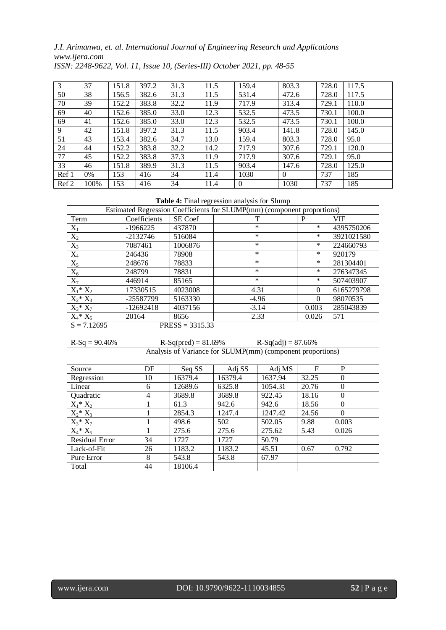*J.I. Arimanwa, et. al. International Journal of Engineering Research and Applications www.ijera.com*

| 3     | 37   | 151.8 | 397.2 | 31.3 | 11.5 | 159.4    | 803.3    | 728.0 | 117.5 |
|-------|------|-------|-------|------|------|----------|----------|-------|-------|
| 50    | 38   | 156.5 | 382.6 | 31.3 | 11.5 | 531.4    | 472.6    | 728.0 | 117.5 |
| 70    | 39   | 152.2 | 383.8 | 32.2 | 11.9 | 717.9    | 313.4    | 729.1 | 110.0 |
| 69    | 40   | 152.6 | 385.0 | 33.0 | 12.3 | 532.5    | 473.5    | 730.1 | 100.0 |
| 69    | 41   | 152.6 | 385.0 | 33.0 | 12.3 | 532.5    | 473.5    | 730.1 | 100.0 |
| 9     | 42   | 151.8 | 397.2 | 31.3 | 11.5 | 903.4    | 141.8    | 728.0 | 145.0 |
| 51    | 43   | 153.4 | 382.6 | 34.7 | 13.0 | 159.4    | 803.3    | 728.0 | 95.0  |
| 24    | 44   | 152.2 | 383.8 | 32.2 | 14.2 | 717.9    | 307.6    | 729.1 | 120.0 |
| 77    | 45   | 152.2 | 383.8 | 37.3 | 11.9 | 717.9    | 307.6    | 729.1 | 95.0  |
| 33    | 46   | 151.8 | 389.9 | 31.3 | 11.5 | 903.4    | 147.6    | 728.0 | 125.0 |
| Ref 1 | 0%   | 153   | 416   | 34   | 11.4 | 1030     | $\Omega$ | 737   | 185   |
| Ref 2 | 100% | 153   | 416   | 34   | 11.4 | $\Omega$ | 1030     | 737   | 185   |

*ISSN: 2248-9622, Vol. 11, Issue 10, (Series-III) October 2021, pp. 48-55*

## **Table 4:** Final regression analysis for Slump

| Estimated Regression Coefficients for SLUMP(mm) (component proportions) |                |                       |                                                            |                      |                  |                  |  |  |
|-------------------------------------------------------------------------|----------------|-----------------------|------------------------------------------------------------|----------------------|------------------|------------------|--|--|
| Term                                                                    | Coefficients   | SE Coef               |                                                            | T                    | P                | <b>VIF</b>       |  |  |
| $\overline{X_1}$                                                        | $-1966225$     | 437870                |                                                            | $\ast$               | $\ast$           | 4395750206       |  |  |
| $X_2$                                                                   | $-2132746$     | 516084                |                                                            | $\ast$               | $\ast$           | 3921021580       |  |  |
| $\overline{X_3}$                                                        | 7087461        | 1006876               |                                                            | $\ast$               | $\ast$           | 224660793        |  |  |
| $\overline{X_4}$                                                        | 246436         | 78908                 |                                                            | $\ast$               | $\ast$           | 920179           |  |  |
| $\overline{X_5}$                                                        | 248676         | 78833                 |                                                            | $\ast$               | $\ast$           | 281304401        |  |  |
| $\overline{X_6}$                                                        | 248799         | 78831                 |                                                            | $\ast$               | $\ast$           | 276347345        |  |  |
| $X_7$                                                                   | 446914         | 85165                 |                                                            | $\ast$               | $\ast$           | 507403907        |  |  |
| $X_1^* X_2$                                                             | 17330515       | 4023008               |                                                            | 4.31                 | $\boldsymbol{0}$ | 6165279798       |  |  |
| $X_2^* X_3$                                                             | -25587799      | 5163330               |                                                            | $-4.96$              | $\Omega$         | 98070535         |  |  |
| $X_3^* X_7$                                                             | $-12692418$    | 4037156               |                                                            | $-3.14$              | 0.003            | 285043839        |  |  |
| $X_4^* X_5$                                                             | 20164          | 8656                  |                                                            | 2.33                 | 0.026            | 571              |  |  |
| $S = 7.12695$                                                           |                | $PRESS = 3315.33$     |                                                            |                      |                  |                  |  |  |
|                                                                         |                |                       |                                                            |                      |                  |                  |  |  |
| $R-Sq = 90.46%$                                                         |                | $R-Sq(pred) = 81.69%$ |                                                            | $R-Sq(adj) = 87.66%$ |                  |                  |  |  |
|                                                                         |                |                       | Analysis of Variance for SLUMP(mm) (component proportions) |                      |                  |                  |  |  |
|                                                                         |                |                       |                                                            |                      |                  |                  |  |  |
| Source                                                                  | DF             | Seq SS                | Adj SS                                                     | Adj MS               | $\mathbf F$      | ${\bf P}$        |  |  |
| Regression                                                              | 10             | 16379.4               | 16379.4                                                    | 1637.94              | 32.25            | $\Omega$         |  |  |
| Linear                                                                  | 6              | 12689.6               | 6325.8                                                     | 1054.31              | 20.76            | $\boldsymbol{0}$ |  |  |
| Quadratic                                                               | 4              | 3689.8                | 3689.8                                                     | 922.45               | 18.16            | $\mathbf{0}$     |  |  |
| $X_1^* X_2$                                                             | $\mathbf{1}$   | 61.3                  | 942.6                                                      | 942.6                | 18.56            | $\boldsymbol{0}$ |  |  |
| $X_2^* X_3$                                                             | 1              | 2854.3                | 1247.4                                                     | 1247.42              | 24.56            | $\overline{0}$   |  |  |
| $X_3^* X_7$                                                             | 1              | 498.6                 | 502                                                        | 502.05               | 9.88             | 0.003            |  |  |
| $X_4^* X_5$                                                             | $\mathbf{1}$   | 275.6                 | 275.6                                                      | 275.62               | 5.43             | 0.026            |  |  |
| <b>Residual Error</b>                                                   | 34             | 1727                  | 1727                                                       | 50.79                |                  |                  |  |  |
| Lack-of-Fit                                                             | 26             | 1183.2                | 1183.2                                                     | 45.51                | 0.67             | 0.792            |  |  |
| Pure Error                                                              | $\overline{8}$ | 543.8                 | 543.8                                                      | 67.97                |                  |                  |  |  |
| Total                                                                   | 44             | 18106.4               |                                                            |                      |                  |                  |  |  |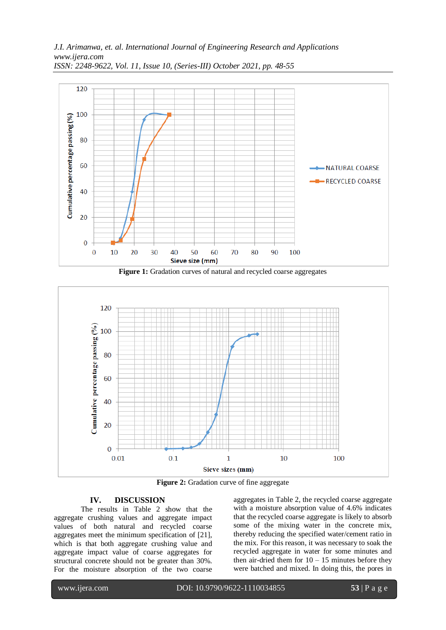*J.I. Arimanwa, et. al. International Journal of Engineering Research and Applications www.ijera.com ISSN: 2248-9622, Vol. 11, Issue 10, (Series-III) October 2021, pp. 48-55*



Figure 1: Gradation curves of natural and recycled coarse aggregates



**Figure 2:** Gradation curve of fine aggregate

## **IV. DISCUSSION**

The results in Table 2 show that the aggregate crushing values and aggregate impact values of both natural and recycled coarse aggregates meet the minimum specification of [21], which is that both aggregate crushing value and aggregate impact value of coarse aggregates for structural concrete should not be greater than 30%. For the moisture absorption of the two coarse

aggregates in Table 2, the recycled coarse aggregate with a moisture absorption value of 4.6% indicates that the recycled coarse aggregate is likely to absorb some of the mixing water in the concrete mix, thereby reducing the specified water/cement ratio in the mix. For this reason, it was necessary to soak the recycled aggregate in water for some minutes and then air-dried them for  $10 - 15$  minutes before they were batched and mixed. In doing this, the pores in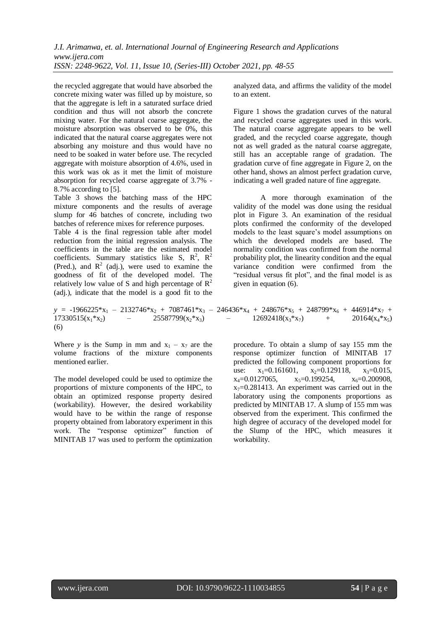the recycled aggregate that would have absorbed the concrete mixing water was filled up by moisture, so that the aggregate is left in a saturated surface dried condition and thus will not absorb the concrete mixing water. For the natural coarse aggregate, the moisture absorption was observed to be 0%, this indicated that the natural coarse aggregates were not absorbing any moisture and thus would have no need to be soaked in water before use. The recycled aggregate with moisture absorption of 4.6%, used in this work was ok as it met the limit of moisture absorption for recycled coarse aggregate of 3.7% - 8.7% according to [5].

Table 3 shows the batching mass of the HPC mixture components and the results of average slump for 46 batches of concrete, including two batches of reference mixes for reference purposes.

Table 4 is the final regression table after model reduction from the initial regression analysis. The coefficients in the table are the estimated model coefficients. Summary statistics like S,  $\mathbb{R}^2$ ,  $\mathbb{R}^2$ (Pred.), and  $R^2$  (adj.), were used to examine the goodness of fit of the developed model. The relatively low value of S and high percentage of  $\mathbb{R}^2$ (adj.), indicate that the model is a good fit to the analyzed data, and affirms the validity of the model to an extent.

Figure 1 shows the gradation curves of the natural and recycled coarse aggregates used in this work. The natural coarse aggregate appears to be well graded, and the recycled coarse aggregate, though not as well graded as the natural coarse aggregate, still has an acceptable range of gradation. The gradation curve of fine aggregate in Figure 2, on the other hand, shows an almost perfect gradation curve, indicating a well graded nature of fine aggregate.

A more thorough examination of the validity of the model was done using the residual plot in Figure 3. An examination of the residual plots confirmed the conformity of the developed models to the least square's model assumptions on which the developed models are based. The normality condition was confirmed from the normal probability plot, the linearity condition and the equal variance condition were confirmed from the "residual versus fit plot", and the final model is as given in equation (6).

| $y = -1966225*x_1 - 2132746*x_2 + 7087461*x_3 - 246436*x_4 + 248676*x_5 + 248799*x_6 + 446914*x_7 +$ |                                 |                     |                               |                       |     |                    |
|------------------------------------------------------------------------------------------------------|---------------------------------|---------------------|-------------------------------|-----------------------|-----|--------------------|
| $17330515(x_1 * x_2)$                                                                                | the contract of the contract of | $25587799(x, *x_3)$ | the company of the company of | $12692418(x_3 * x_7)$ | $+$ | $20164(x_4 * x_5)$ |
| (6)                                                                                                  |                                 |                     |                               |                       |     |                    |

Where *y* is the Sump in mm and  $x_1 - x_7$  are the volume fractions of the mixture components mentioned earlier.

The model developed could be used to optimize the proportions of mixture components of the HPC, to obtain an optimized response property desired (workability). However, the desired workability would have to be within the range of response property obtained from laboratory experiment in this work. The "response optimizer" function of MINITAB 17 was used to perform the optimization procedure. To obtain a slump of say 155 mm the response optimizer function of MINITAB 17 predicted the following component proportions for<br>use:  $x_1=0.161601$ ,  $x_2=0.129118$ ,  $x_3=0.015$ . use:  $x_1=0.161601$ ,  $x_2=0.129118$ ,  $x_3=0.0127065$ ,  $x_5=0.199254$ ,  $x_6 = 0.200908$ ,  $x_7=0.281413$ . An experiment was carried out in the laboratory using the components proportions as predicted by MINITAB 17. A slump of 155 mm was observed from the experiment. This confirmed the high degree of accuracy of the developed model for the Slump of the HPC, which measures it workability.